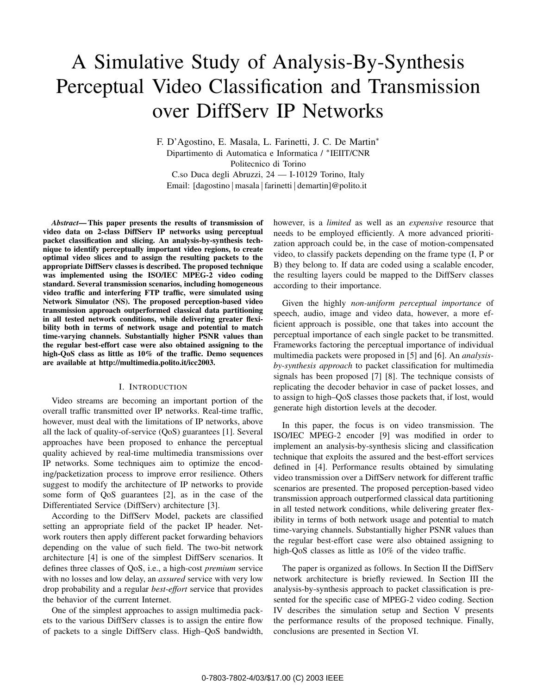# A Simulative Study of Analysis-By-Synthesis Perceptual Video Classification and Transmission over DiffServ IP Networks

F. D'Agostino, E. Masala, L. Farinetti, J. C. De Martin∗ Dipartimento di Automatica e Informatica / ∗IEIIT/CNR Politecnico di Torino C.so Duca degli Abruzzi, 24 — I-10129 Torino, Italy Email: [dagostino | masala | farinetti | demartin]@polito.it

*Abstract***— This paper presents the results of transmission of video data on 2-class DiffServ IP networks using perceptual packet classification and slicing. An analysis-by-synthesis technique to identify perceptually important video regions, to create optimal video slices and to assign the resulting packets to the appropriate DiffServ classes is described. The proposed technique was implemented using the ISO/IEC MPEG-2 video coding standard. Several transmission scenarios, including homogeneous video traffic and interfering FTP traffic, were simulated using Network Simulator (NS). The proposed perception-based video transmission approach outperformed classical data partitioning in all tested network conditions, while delivering greater flexibility both in terms of network usage and potential to match time-varying channels. Substantially higher PSNR values than the regular best-effort case were also obtained assigning to the high-QoS class as little as 10% of the traffic. Demo sequences are available at http://multimedia.polito.it/icc2003.**

# I. INTRODUCTION

Video streams are becoming an important portion of the overall traffic transmitted over IP networks. Real-time traffic, however, must deal with the limitations of IP networks, above all the lack of quality-of-service (QoS) guarantees [1]. Several approaches have been proposed to enhance the perceptual quality achieved by real-time multimedia transmissions over IP networks. Some techniques aim to optimize the encoding/packetization process to improve error resilience. Others suggest to modify the architecture of IP networks to provide some form of QoS guarantees [2], as in the case of the Differentiated Service (DiffServ) architecture [3].

According to the DiffServ Model, packets are classified setting an appropriate field of the packet IP header. Network routers then apply different packet forwarding behaviors depending on the value of such field. The two-bit network architecture [4] is one of the simplest DiffServ scenarios. It defines three classes of QoS, i.e., a high-cost *premium* service with no losses and low delay, an *assured* service with very low drop probability and a regular *best-effort* service that provides the behavior of the current Internet.

One of the simplest approaches to assign multimedia packets to the various DiffServ classes is to assign the entire flow of packets to a single DiffServ class. High–QoS bandwidth, however, is a *limited* as well as an *expensive* resource that needs to be employed efficiently. A more advanced prioritization approach could be, in the case of motion-compensated video, to classify packets depending on the frame type (I, P or B) they belong to. If data are coded using a scalable encoder, the resulting layers could be mapped to the DiffServ classes according to their importance.

Given the highly *non-uniform perceptual importance* of speech, audio, image and video data, however, a more efficient approach is possible, one that takes into account the perceptual importance of each single packet to be transmitted. Frameworks factoring the perceptual importance of individual multimedia packets were proposed in [5] and [6]. An *analysisby-synthesis approach* to packet classification for multimedia signals has been proposed [7] [8]. The technique consists of replicating the decoder behavior in case of packet losses, and to assign to high–QoS classes those packets that, if lost, would generate high distortion levels at the decoder.

In this paper, the focus is on video transmission. The ISO/IEC MPEG-2 encoder [9] was modified in order to implement an analysis-by-synthesis slicing and classification technique that exploits the assured and the best-effort services defined in [4]. Performance results obtained by simulating video transmission over a DiffServ network for different traffic scenarios are presented. The proposed perception-based video transmission approach outperformed classical data partitioning in all tested network conditions, while delivering greater flexibility in terms of both network usage and potential to match time-varying channels. Substantially higher PSNR values than the regular best-effort case were also obtained assigning to high-QoS classes as little as  $10\%$  of the video traffic.

The paper is organized as follows. In Section II the DiffServ network architecture is briefly reviewed. In Section III the analysis-by-synthesis approach to packet classification is presented for the specific case of MPEG-2 video coding. Section IV describes the simulation setup and Section V presents the performance results of the proposed technique. Finally, conclusions are presented in Section VI.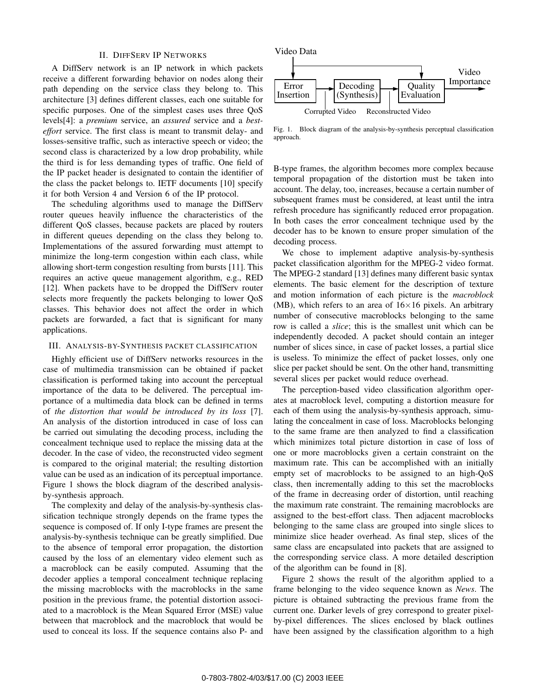#### II. DIFFSERV IP NETWORKS

A DiffServ network is an IP network in which packets receive a different forwarding behavior on nodes along their path depending on the service class they belong to. This architecture [3] defines different classes, each one suitable for specific purposes. One of the simplest cases uses three QoS levels[4]: a *premium* service, an *assured* service and a *besteffort* service. The first class is meant to transmit delay- and losses-sensitive traffic, such as interactive speech or video; the second class is characterized by a low drop probability, while the third is for less demanding types of traffic. One field of the IP packet header is designated to contain the identifier of the class the packet belongs to. IETF documents [10] specify it for both Version 4 and Version 6 of the IP protocol.

The scheduling algorithms used to manage the DiffServ router queues heavily influence the characteristics of the different QoS classes, because packets are placed by routers in different queues depending on the class they belong to. Implementations of the assured forwarding must attempt to minimize the long-term congestion within each class, while allowing short-term congestion resulting from bursts [11]. This requires an active queue management algorithm, e.g., RED [12]. When packets have to be dropped the DiffServ router selects more frequently the packets belonging to lower QoS classes. This behavior does not affect the order in which packets are forwarded, a fact that is significant for many applications.

#### III. ANALYSIS-BY-SYNTHESIS PACKET CLASSIFICATION

Highly efficient use of DiffServ networks resources in the case of multimedia transmission can be obtained if packet classification is performed taking into account the perceptual importance of the data to be delivered. The perceptual importance of a multimedia data block can be defined in terms of *the distortion that would be introduced by its loss* [7]. An analysis of the distortion introduced in case of loss can be carried out simulating the decoding process, including the concealment technique used to replace the missing data at the decoder. In the case of video, the reconstructed video segment is compared to the original material; the resulting distortion value can be used as an indication of its perceptual importance. Figure 1 shows the block diagram of the described analysisby-synthesis approach.

The complexity and delay of the analysis-by-synthesis classification technique strongly depends on the frame types the sequence is composed of. If only I-type frames are present the analysis-by-synthesis technique can be greatly simplified. Due to the absence of temporal error propagation, the distortion caused by the loss of an elementary video element such as a macroblock can be easily computed. Assuming that the decoder applies a temporal concealment technique replacing the missing macroblocks with the macroblocks in the same position in the previous frame, the potential distortion associated to a macroblock is the Mean Squared Error (MSE) value between that macroblock and the macroblock that would be used to conceal its loss. If the sequence contains also P- and



Fig. 1. Block diagram of the analysis-by-synthesis perceptual classification approach.

B-type frames, the algorithm becomes more complex because temporal propagation of the distortion must be taken into account. The delay, too, increases, because a certain number of subsequent frames must be considered, at least until the intra refresh procedure has significantly reduced error propagation. In both cases the error concealment technique used by the decoder has to be known to ensure proper simulation of the decoding process.

We chose to implement adaptive analysis-by-synthesis packet classification algorithm for the MPEG-2 video format. The MPEG-2 standard [13] defines many different basic syntax elements. The basic element for the description of texture and motion information of each picture is the *macroblock* (MB), which refers to an area of 16*×*16 pixels. An arbitrary number of consecutive macroblocks belonging to the same row is called a *slice*; this is the smallest unit which can be independently decoded. A packet should contain an integer number of slices since, in case of packet losses, a partial slice is useless. To minimize the effect of packet losses, only one slice per packet should be sent. On the other hand, transmitting several slices per packet would reduce overhead.

The perception-based video classification algorithm operates at macroblock level, computing a distortion measure for each of them using the analysis-by-synthesis approach, simulating the concealment in case of loss. Macroblocks belonging to the same frame are then analyzed to find a classification which minimizes total picture distortion in case of loss of one or more macroblocks given a certain constraint on the maximum rate. This can be accomplished with an initially empty set of macroblocks to be assigned to an high-QoS class, then incrementally adding to this set the macroblocks of the frame in decreasing order of distortion, until reaching the maximum rate constraint. The remaining macroblocks are assigned to the best-effort class. Then adjacent macroblocks belonging to the same class are grouped into single slices to minimize slice header overhead. As final step, slices of the same class are encapsulated into packets that are assigned to the corresponding service class. A more detailed description of the algorithm can be found in [8].

Figure 2 shows the result of the algorithm applied to a frame belonging to the video sequence known as *News*. The picture is obtained subtracting the previous frame from the current one. Darker levels of grey correspond to greater pixelby-pixel differences. The slices enclosed by black outlines have been assigned by the classification algorithm to a high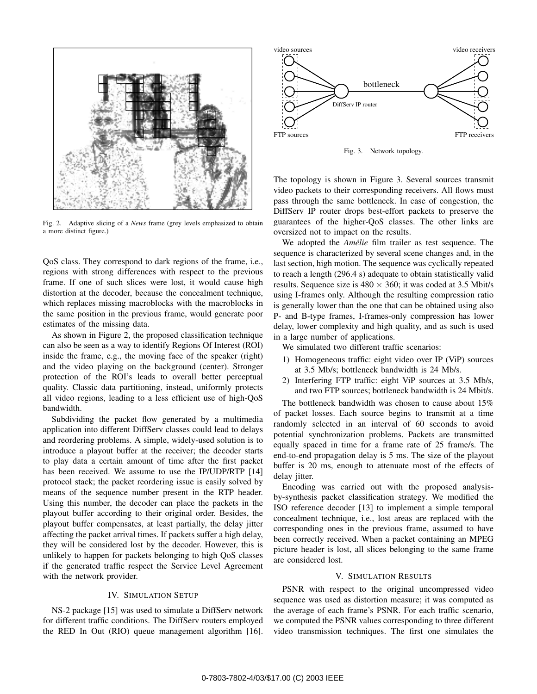

Fig. 2. Adaptive slicing of a *News* frame (grey levels emphasized to obtain a more distinct figure.)

QoS class. They correspond to dark regions of the frame, i.e., regions with strong differences with respect to the previous frame. If one of such slices were lost, it would cause high distortion at the decoder, because the concealment technique, which replaces missing macroblocks with the macroblocks in the same position in the previous frame, would generate poor estimates of the missing data.

As shown in Figure 2, the proposed classification technique can also be seen as a way to identify Regions Of Interest (ROI) inside the frame, e.g., the moving face of the speaker (right) and the video playing on the background (center). Stronger protection of the ROI's leads to overall better perceptual quality. Classic data partitioning, instead, uniformly protects all video regions, leading to a less efficient use of high-QoS bandwidth.

Subdividing the packet flow generated by a multimedia application into different DiffServ classes could lead to delays and reordering problems. A simple, widely-used solution is to introduce a playout buffer at the receiver; the decoder starts to play data a certain amount of time after the first packet has been received. We assume to use the IP/UDP/RTP [14] protocol stack; the packet reordering issue is easily solved by means of the sequence number present in the RTP header. Using this number, the decoder can place the packets in the playout buffer according to their original order. Besides, the playout buffer compensates, at least partially, the delay jitter affecting the packet arrival times. If packets suffer a high delay, they will be considered lost by the decoder. However, this is unlikely to happen for packets belonging to high QoS classes if the generated traffic respect the Service Level Agreement with the network provider.

# IV. SIMULATION SETUP

NS-2 package [15] was used to simulate a DiffServ network for different traffic conditions. The DiffServ routers employed the RED In Out (RIO) queue management algorithm [16].



Fig. 3. Network topology.

The topology is shown in Figure 3. Several sources transmit video packets to their corresponding receivers. All flows must pass through the same bottleneck. In case of congestion, the DiffServ IP router drops best-effort packets to preserve the guarantees of the higher-QoS classes. The other links are oversized not to impact on the results.

We adopted the *Amélie* film trailer as test sequence. The sequence is characterized by several scene changes and, in the last section, high motion. The sequence was cyclically repeated to reach a length (296.4 s) adequate to obtain statistically valid results. Sequence size is 480 *×* 360; it was coded at 3.5 Mbit/s using I-frames only. Although the resulting compression ratio is generally lower than the one that can be obtained using also P- and B-type frames, I-frames-only compression has lower delay, lower complexity and high quality, and as such is used in a large number of applications.

We simulated two different traffic scenarios:

- 1) Homogeneous traffic: eight video over IP (ViP) sources at 3.5 Mb/s; bottleneck bandwidth is 24 Mb/s.
- 2) Interfering FTP traffic: eight ViP sources at 3.5 Mb/s, and two FTP sources; bottleneck bandwidth is 24 Mbit/s.

The bottleneck bandwidth was chosen to cause about 15% of packet losses. Each source begins to transmit at a time randomly selected in an interval of 60 seconds to avoid potential synchronization problems. Packets are transmitted equally spaced in time for a frame rate of 25 frame/s. The end-to-end propagation delay is 5 ms. The size of the playout buffer is 20 ms, enough to attenuate most of the effects of delay jitter.

Encoding was carried out with the proposed analysisby-synthesis packet classification strategy. We modified the ISO reference decoder [13] to implement a simple temporal concealment technique, i.e., lost areas are replaced with the corresponding ones in the previous frame, assumed to have been correctly received. When a packet containing an MPEG picture header is lost, all slices belonging to the same frame are considered lost.

### V. SIMULATION RESULTS

PSNR with respect to the original uncompressed video sequence was used as distortion measure; it was computed as the average of each frame's PSNR. For each traffic scenario, we computed the PSNR values corresponding to three different video transmission techniques. The first one simulates the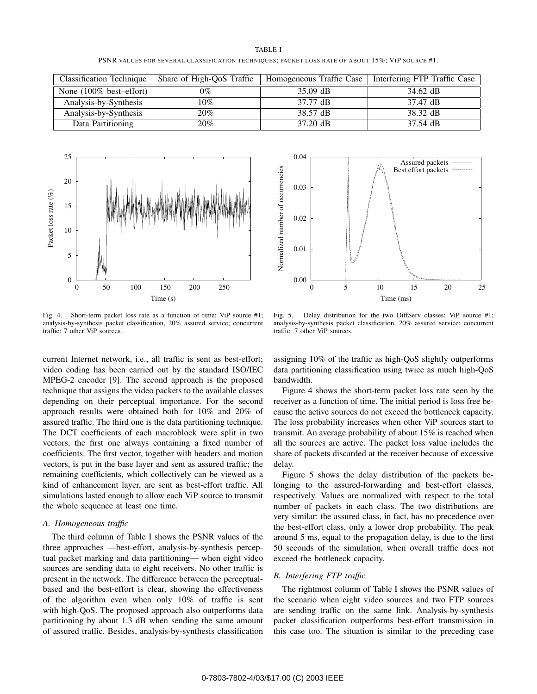|--|--|

PSNR VALUES FOR SEVERAL CLASSIFICATION TECHNIQUES; PACKET LOSS RATE OF ABOUT 15%; VIP SOURCE #1.

| <b>Classification Technique</b>    | Share of High-QoS Traffic | Homogeneous Traffic Case | Interfering FTP Traffic Case |
|------------------------------------|---------------------------|--------------------------|------------------------------|
| None $(100\% \text{ best–effort})$ | $0\%$                     | 35.09 dB                 | 34.62 dB                     |
| Analysis-by-Synthesis              | 10%                       | 37.77 dB                 | 37.47 dB                     |
| Analysis-by-Synthesis              | 20%                       | 38.57 dB                 | 38.32 dB                     |
| Data Partitioning                  | 20%                       | 37.20 dB                 | 37.54 dB                     |





Fig. 4. Short-term packet loss rate as a function of time; ViP source #1; analysis-by-synthesis packet classification, 20% assured service; concurrent traffic: 7 other ViP sources.

current Internet network, i.e., all traffic is sent as best-effort; video coding has been carried out by the standard ISO/IEC MPEG-2 encoder [9]. The second approach is the proposed technique that assigns the video packets to the available classes depending on their perceptual importance. For the second approach results were obtained both for 10% and 20% of assured traffic. The third one is the data partitioning technique. The DCT coefficients of each macroblock were split in two vectors, the first one always containing a fixed number of coefficients. The first vector, together with headers and motion vectors, is put in the base layer and sent as assured traffic; the remaining coefficients, which collectively can be viewed as a kind of enhancement layer, are sent as best-effort traffic. All simulations lasted enough to allow each ViP source to transmit the whole sequence at least one time.

## *A. Homogeneous traffic*

The third column of Table I shows the PSNR values of the three approaches —best-effort, analysis-by-synthesis perceptual packet marking and data partitioning— when eight video sources are sending data to eight receivers. No other traffic is present in the network. The difference between the perceptualbased and the best-effort is clear, showing the effectiveness of the algorithm even when only 10% of traffic is sent with high-QoS. The proposed approach also outperforms data partitioning by about 1.3 dB when sending the same amount of assured traffic. Besides, analysis-by-synthesis classification

Fig. 5. Delay distribution for the two DiffServ classes; ViP source #1; analysis-by-synthesis packet classification, 20% assured service; concurrent traffic: 7 other ViP sources.

assigning 10% of the traffic as high-QoS slightly outperforms data partitioning classification using twice as much high-QoS bandwidth.

Figure 4 shows the short-term packet loss rate seen by the receiver as a function of time. The initial period is loss free because the active sources do not exceed the bottleneck capacity. The loss probability increases when other ViP sources start to transmit. An average probability of about 15% is reached when all the sources are active. The packet loss value includes the share of packets discarded at the receiver because of excessive delay.

Figure 5 shows the delay distribution of the packets belonging to the assured-forwarding and best-effort classes, respectively. Values are normalized with respect to the total number of packets in each class. The two distributions are very similar: the assured class, in fact, has no precedence over the best-effort class, only a lower drop probability. The peak around 5 ms, equal to the propagation delay, is due to the first 50 seconds of the simulation, when overall traffic does not exceed the bottleneck capacity.

#### *B. Interfering FTP traffic*

The rightmost column of Table I shows the PSNR values of the scenario when eight video sources and two FTP sources are sending traffic on the same link. Analysis-by-synthesis packet classification outperforms best-effort transmission in this case too. The situation is similar to the preceding case